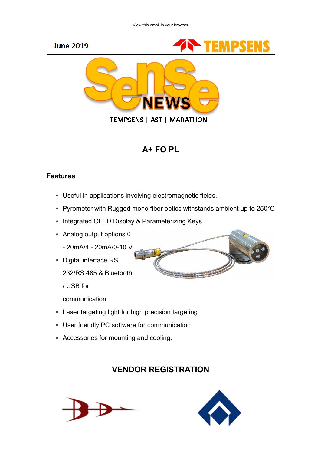





**TEMPSENS | AST | MARATHON** 

# A+ FO PL

#### Features

- Useful in applications involving electromagnetic fields.
- Pyrometer with Rugged mono fiber optics withstands ambient up to 250°C
- Integrated OLED Display & Parameterizing Keys
- Analog output options 0
	- 20mA/4 20mA/0-10 V
- Digital interface RS
	- 232/RS 485 & Bluetooth

/ USB for

communication

- Laser targeting light for high precision targeting
- User friendly PC software for communication
- Accessories for mounting and cooling.

## VENDOR REGISTRATION





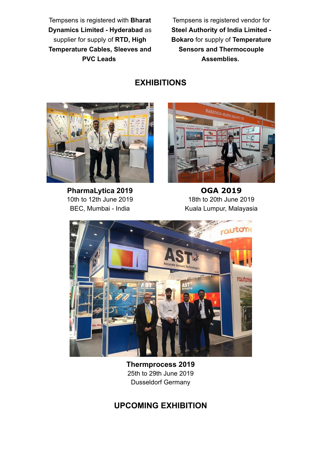Tempsens is registered with Bharat Dynamics Limited - Hyderabad as supplier for supply of RTD, High Temperature Cables, Sleeves and PVC Leads

Tempsens is registered vendor for Steel Authority of India Limited - Bokaro for supply of Temperature Sensors and Thermocouple Assemblies.

## EXHIBITIONS



PharmaLytica 2019 10th to 12th June 2019 BEC, Mumbai - India



OGA 2019 18th to 20th June 2019 Kuala Lumpur, Malayasia



Thermprocess 2019 25th to 29th June 2019 Dusseldorf Germany

## UPCOMING EXHIBITION